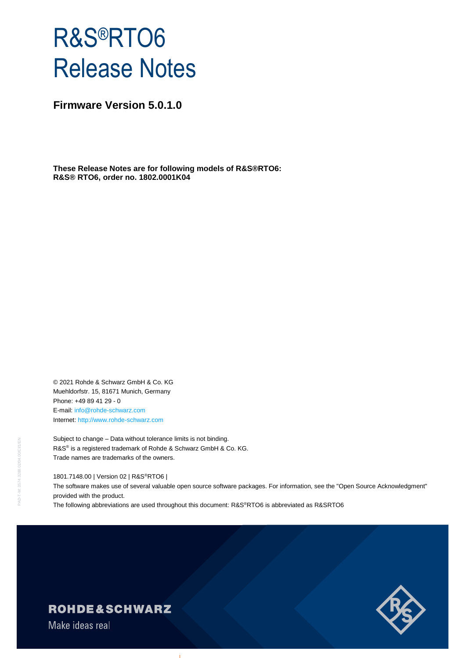# R&S®RTO6 Release Notes

**Firmware Version 5.0.1.0**

**These Release Notes are for following models of R&S®RTO6: R&S® RTO6, order no. 1802.0001K04**

© 2021 Rohde & Schwarz GmbH & Co. KG Muehldorfstr. 15, 81671 Munich, Germany Phone: +49 89 41 29 - 0 E-mail: [info@rohde-schwarz.com](mailto:info@rohde-schwarz.com) Internet[: http://www.rohde-schwarz.com](http://www.rohde-schwarz.com/)

Subject to change – Data without tolerance limits is not binding. R&S<sup>®</sup> is a registered trademark of Rohde & Schwarz GmbH & Co. KG. Trade names are trademarks of the owners.

1801.7148.00 | Version 02 | R&S®RTO6 |

The software makes use of several valuable open source software packages. For information, see the "Open Source Acknowledgment" provided with the product.

The following abbreviations are used throughout this document: R&S®RTO6 is abbreviated as R&SRTO6

# **ROHDE&SCHWARZ**

Make ideas real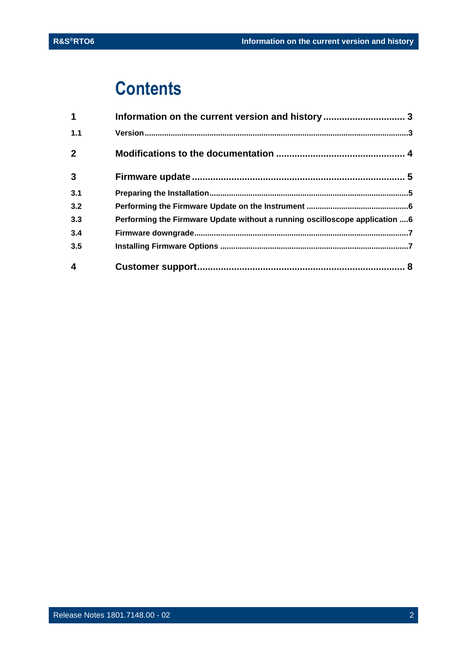# **Contents**

| $\mathbf 1$  | Information on the current version and history  3                           |  |
|--------------|-----------------------------------------------------------------------------|--|
| 1.1          |                                                                             |  |
| $\mathbf{2}$ |                                                                             |  |
| $\mathbf{3}$ |                                                                             |  |
| 3.1          |                                                                             |  |
| 3.2          |                                                                             |  |
| 3.3          | Performing the Firmware Update without a running oscilloscope application 6 |  |
| 3.4          |                                                                             |  |
| 3.5          |                                                                             |  |
| 4            |                                                                             |  |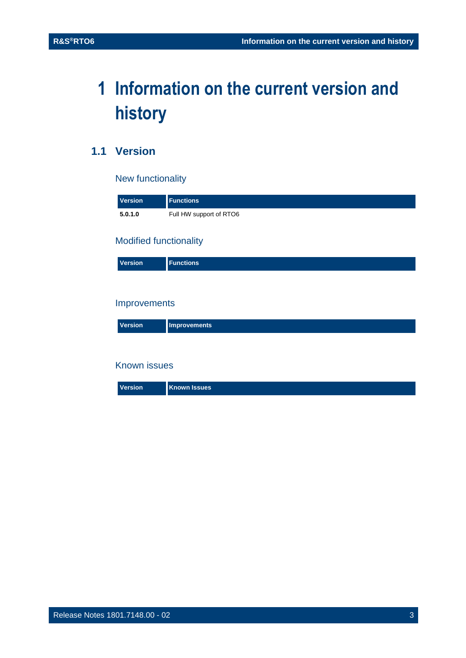# <span id="page-2-0"></span>**1 Information on the current version and history**

# <span id="page-2-1"></span>**1.1 Version**

### New functionality

| <b>Version</b> | <b>Functions</b>        |
|----------------|-------------------------|
| 5.0.1.0        | Full HW support of RTO6 |

#### Modified functionality

| Version |
|---------|
|---------|

#### Improvements

| Version | <b>Improvements</b> |
|---------|---------------------|
|---------|---------------------|

#### Known issues

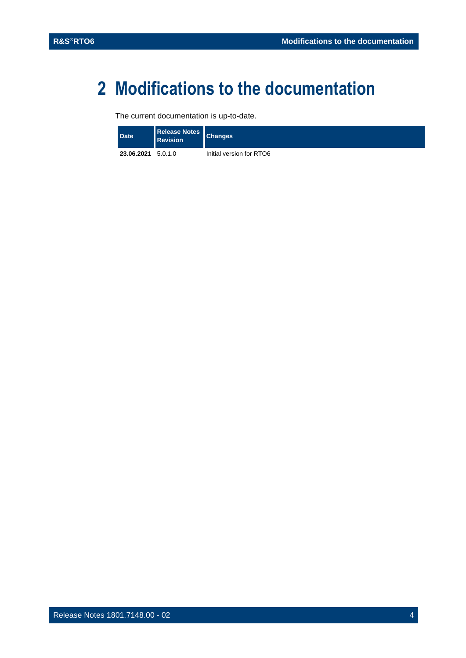# <span id="page-3-0"></span>**2 Modifications to the documentation**

The current documentation is up-to-date.

| Date <sup>1</sup>  | <b>Revision</b> | Release Notes Changes    |
|--------------------|-----------------|--------------------------|
| 23.06.2021 5.0.1.0 |                 | Initial version for RTO6 |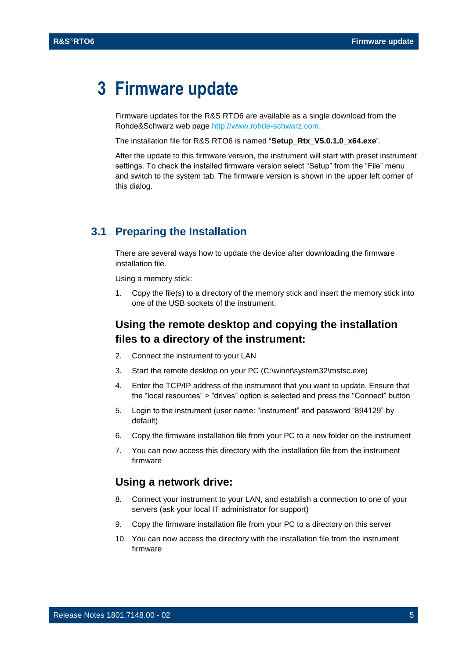# <span id="page-4-0"></span>**3 Firmware update**

Firmware updates for the R&S RTO6 are available as a single download from the Rohde&Schwarz web page [http://www.rohde-schwarz.com.](http://www.rohde-schwarz.com/)

The installation file for R&S RTO6 is named "**Setup\_Rtx\_V5.0.1.0\_x64.exe**".

After the update to this firmware version, the instrument will start with preset instrument settings. To check the installed firmware version select "Setup" from the "File" menu and switch to the system tab. The firmware version is shown in the upper left corner of this dialog.

#### <span id="page-4-1"></span>**3.1 Preparing the Installation**

There are several ways how to update the device after downloading the firmware installation file.

Using a memory stick:

1. Copy the file(s) to a directory of the memory stick and insert the memory stick into one of the USB sockets of the instrument.

### **Using the remote desktop and copying the installation files to a directory of the instrument:**

- 2. Connect the instrument to your LAN
- 3. Start the remote desktop on your PC (C:\winnt\system32\mstsc.exe)
- 4. Enter the TCP/IP address of the instrument that you want to update. Ensure that the "local resources" > "drives" option is selected and press the "Connect" button
- 5. Login to the instrument (user name: "instrument" and password "894129" by default)
- 6. Copy the firmware installation file from your PC to a new folder on the instrument
- 7. You can now access this directory with the installation file from the instrument firmware

#### **Using a network drive:**

- 8. Connect your instrument to your LAN, and establish a connection to one of your servers (ask your local IT administrator for support)
- 9. Copy the firmware installation file from your PC to a directory on this server
- 10. You can now access the directory with the installation file from the instrument firmware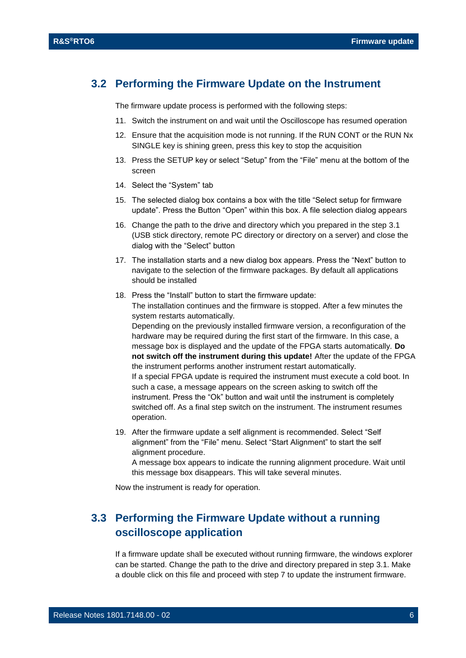### <span id="page-5-0"></span>**3.2 Performing the Firmware Update on the Instrument**

The firmware update process is performed with the following steps:

- 11. Switch the instrument on and wait until the Oscilloscope has resumed operation
- 12. Ensure that the acquisition mode is not running. If the RUN CONT or the RUN Nx SINGLE key is shining green, press this key to stop the acquisition
- 13. Press the SETUP key or select "Setup" from the "File" menu at the bottom of the screen
- 14. Select the "System" tab
- 15. The selected dialog box contains a box with the title "Select setup for firmware update". Press the Button "Open" within this box. A file selection dialog appears
- 16. Change the path to the drive and directory which you prepared in the step [3.1](#page-4-1) (USB stick directory, remote PC directory or directory on a server) and close the dialog with the "Select" button
- 17. The installation starts and a new dialog box appears. Press the "Next" button to navigate to the selection of the firmware packages. By default all applications should be installed
- 18. Press the "Install" button to start the firmware update: The installation continues and the firmware is stopped. After a few minutes the system restarts automatically. Depending on the previously installed firmware version, a reconfiguration of the hardware may be required during the first start of the firmware. In this case, a message box is displayed and the update of the FPGA starts automatically. **Do not switch off the instrument during this update!** After the update of the FPGA the instrument performs another instrument restart automatically. If a special FPGA update is required the instrument must execute a cold boot. In such a case, a message appears on the screen asking to switch off the instrument. Press the "Ok" button and wait until the instrument is completely switched off. As a final step switch on the instrument. The instrument resumes operation.
- 19. After the firmware update a self alignment is recommended. Select "Self alignment" from the "File" menu. Select "Start Alignment" to start the self alignment procedure.

A message box appears to indicate the running alignment procedure. Wait until this message box disappears. This will take several minutes.

<span id="page-5-1"></span>Now the instrument is ready for operation.

## **3.3 Performing the Firmware Update without a running oscilloscope application**

If a firmware update shall be executed without running firmware, the windows explorer can be started. Change the path to the drive and directory prepared in step [3.1.](#page-4-1) Make a double click on this file and proceed with step 7 to update the instrument firmware.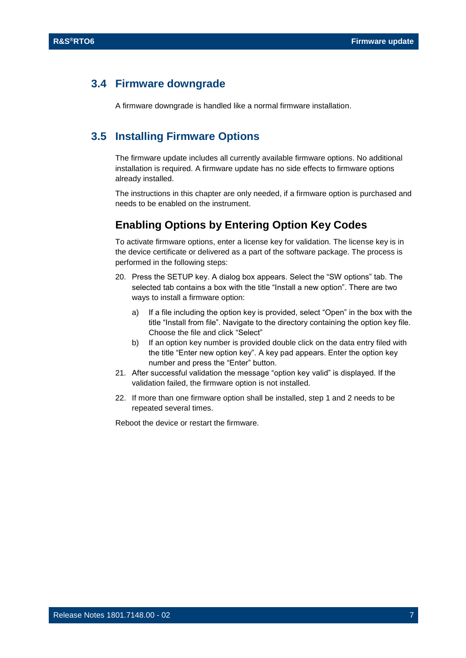#### <span id="page-6-0"></span>**3.4 Firmware downgrade**

<span id="page-6-1"></span>A firmware downgrade is handled like a normal firmware installation.

### **3.5 Installing Firmware Options**

The firmware update includes all currently available firmware options. No additional installation is required. A firmware update has no side effects to firmware options already installed.

The instructions in this chapter are only needed, if a firmware option is purchased and needs to be enabled on the instrument.

### **Enabling Options by Entering Option Key Codes**

To activate firmware options, enter a license key for validation. The license key is in the device certificate or delivered as a part of the software package. The process is performed in the following steps:

- 20. Press the SETUP key. A dialog box appears. Select the "SW options" tab. The selected tab contains a box with the title "Install a new option". There are two ways to install a firmware option:
	- a) If a file including the option key is provided, select "Open" in the box with the title "Install from file". Navigate to the directory containing the option key file. Choose the file and click "Select"
	- b) If an option key number is provided double click on the data entry filed with the title "Enter new option key". A key pad appears. Enter the option key number and press the "Enter" button.
- 21. After successful validation the message "option key valid" is displayed. If the validation failed, the firmware option is not installed.
- 22. If more than one firmware option shall be installed, step 1 and 2 needs to be repeated several times.

Reboot the device or restart the firmware.